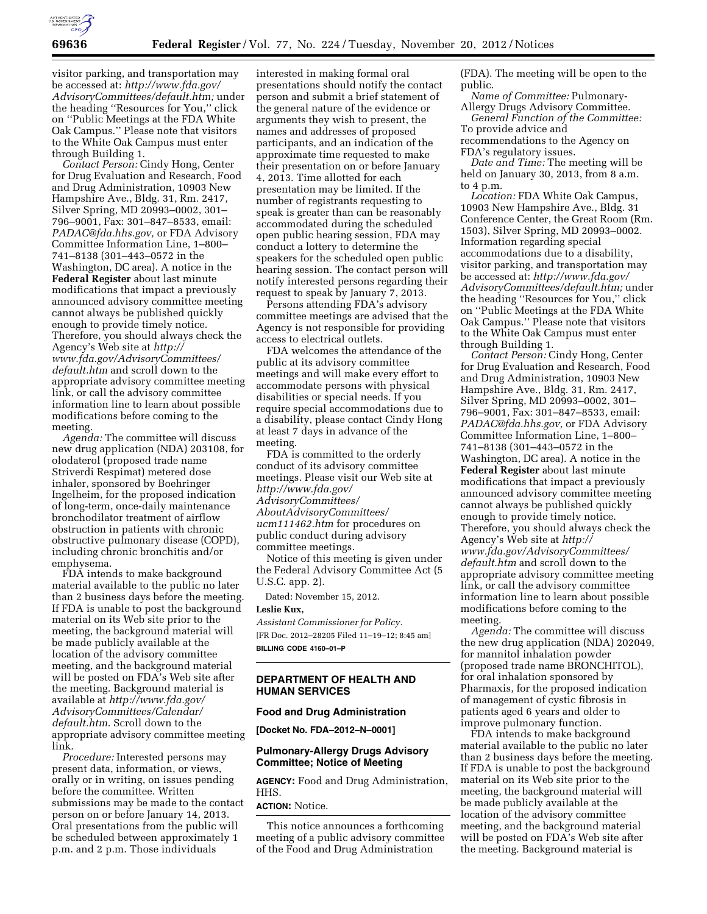

visitor parking, and transportation may be accessed at: *[http://www.fda.gov/](http://www.fda.gov/AdvisoryCommittees/default.htm) [AdvisoryCommittees/default.htm;](http://www.fda.gov/AdvisoryCommittees/default.htm)* under the heading ''Resources for You,'' click on ''Public Meetings at the FDA White Oak Campus.'' Please note that visitors to the White Oak Campus must enter through Building 1.

*Contact Person:* Cindy Hong, Center for Drug Evaluation and Research, Food and Drug Administration, 10903 New Hampshire Ave., Bldg. 31, Rm. 2417, Silver Spring, MD 20993–0002, 301– 796–9001, Fax: 301–847–8533, email: *[PADAC@fda.hhs.gov,](mailto:PADAC@fda.hhs.gov)* or FDA Advisory Committee Information Line, 1–800– 741–8138 (301–443–0572 in the Washington, DC area). A notice in the **Federal Register** about last minute modifications that impact a previously announced advisory committee meeting cannot always be published quickly enough to provide timely notice. Therefore, you should always check the Agency's Web site at *[http://](http://www.fda.gov/AdvisoryCommittees/default.htm) [www.fda.gov/AdvisoryCommittees/](http://www.fda.gov/AdvisoryCommittees/default.htm) [default.htm](http://www.fda.gov/AdvisoryCommittees/default.htm)* and scroll down to the appropriate advisory committee meeting link, or call the advisory committee information line to learn about possible modifications before coming to the meeting.

*Agenda:* The committee will discuss new drug application (NDA) 203108, for olodaterol (proposed trade name Striverdi Respimat) metered dose inhaler, sponsored by Boehringer Ingelheim, for the proposed indication of long-term, once-daily maintenance bronchodilator treatment of airflow obstruction in patients with chronic obstructive pulmonary disease (COPD), including chronic bronchitis and/or emphysema.

FDA intends to make background material available to the public no later than 2 business days before the meeting. If FDA is unable to post the background material on its Web site prior to the meeting, the background material will be made publicly available at the location of the advisory committee meeting, and the background material will be posted on FDA's Web site after the meeting. Background material is available at *[http://www.fda.gov/](http://www.fda.gov/AdvisoryCommittees/Calendar/default.htm)  [AdvisoryCommittees/Calendar/](http://www.fda.gov/AdvisoryCommittees/Calendar/default.htm)  [default.htm](http://www.fda.gov/AdvisoryCommittees/Calendar/default.htm)*. Scroll down to the appropriate advisory committee meeting link.

*Procedure:* Interested persons may present data, information, or views, orally or in writing, on issues pending before the committee. Written submissions may be made to the contact person on or before January 14, 2013. Oral presentations from the public will be scheduled between approximately 1 p.m. and 2 p.m. Those individuals

interested in making formal oral presentations should notify the contact person and submit a brief statement of the general nature of the evidence or arguments they wish to present, the names and addresses of proposed participants, and an indication of the approximate time requested to make their presentation on or before January 4, 2013. Time allotted for each presentation may be limited. If the number of registrants requesting to speak is greater than can be reasonably accommodated during the scheduled open public hearing session, FDA may conduct a lottery to determine the speakers for the scheduled open public hearing session. The contact person will notify interested persons regarding their request to speak by January 7, 2013.

Persons attending FDA's advisory committee meetings are advised that the Agency is not responsible for providing access to electrical outlets.

FDA welcomes the attendance of the public at its advisory committee meetings and will make every effort to accommodate persons with physical disabilities or special needs. If you require special accommodations due to a disability, please contact Cindy Hong at least 7 days in advance of the meeting.

FDA is committed to the orderly conduct of its advisory committee meetings. Please visit our Web site at *[http://www.fda.gov/](http://www.fda.gov/AdvisoryCommittees/AboutAdvisoryCommittees/ucm111462.htm) [AdvisoryCommittees/](http://www.fda.gov/AdvisoryCommittees/AboutAdvisoryCommittees/ucm111462.htm) [AboutAdvisoryCommittees/](http://www.fda.gov/AdvisoryCommittees/AboutAdvisoryCommittees/ucm111462.htm)  [ucm111462.htm](http://www.fda.gov/AdvisoryCommittees/AboutAdvisoryCommittees/ucm111462.htm)* for procedures on public conduct during advisory committee meetings.

Notice of this meeting is given under the Federal Advisory Committee Act (5 U.S.C. app. 2).

Dated: November 15, 2012.

## **Leslie Kux,**

*Assistant Commissioner for Policy.*  [FR Doc. 2012–28205 Filed 11–19–12; 8:45 am] **BILLING CODE 4160–01–P** 

#### **DEPARTMENT OF HEALTH AND HUMAN SERVICES**

#### **Food and Drug Administration**

**[Docket No. FDA–2012–N–0001]** 

#### **Pulmonary-Allergy Drugs Advisory Committee; Notice of Meeting**

**AGENCY:** Food and Drug Administration, HHS.

#### **ACTION:** Notice.

This notice announces a forthcoming meeting of a public advisory committee of the Food and Drug Administration

(FDA). The meeting will be open to the public.

*Name of Committee:* Pulmonary-Allergy Drugs Advisory Committee.

*General Function of the Committee:*  To provide advice and

recommendations to the Agency on FDA's regulatory issues.

*Date and Time:* The meeting will be held on January 30, 2013, from 8 a.m. to 4 p.m.

*Location:* FDA White Oak Campus, 10903 New Hampshire Ave., Bldg. 31 Conference Center, the Great Room (Rm. 1503), Silver Spring, MD 20993–0002. Information regarding special accommodations due to a disability, visitor parking, and transportation may be accessed at: *[http://www.fda.gov/](http://www.fda.gov/AdvisoryCommittees/default.htm) [AdvisoryCommittees/default.htm;](http://www.fda.gov/AdvisoryCommittees/default.htm)* under the heading ''Resources for You,'' click on ''Public Meetings at the FDA White Oak Campus.'' Please note that visitors to the White Oak Campus must enter through Building 1.

*Contact Person:* Cindy Hong, Center for Drug Evaluation and Research, Food and Drug Administration, 10903 New Hampshire Ave., Bldg. 31, Rm. 2417, Silver Spring, MD 20993–0002, 301– 796–9001, Fax: 301–847–8533, email: *[PADAC@fda.hhs.gov,](mailto:PADAC@fda.hhs.gov)* or FDA Advisory Committee Information Line, 1–800– 741–8138 (301–443–0572 in the Washington, DC area). A notice in the **Federal Register** about last minute modifications that impact a previously announced advisory committee meeting cannot always be published quickly enough to provide timely notice. Therefore, you should always check the Agency's Web site at *[http://](http://www.fda.gov/AdvisoryCommittees/default.htm) [www.fda.gov/AdvisoryCommittees/](http://www.fda.gov/AdvisoryCommittees/default.htm) [default.htm](http://www.fda.gov/AdvisoryCommittees/default.htm)* and scroll down to the appropriate advisory committee meeting link, or call the advisory committee information line to learn about possible modifications before coming to the meeting.

*Agenda:* The committee will discuss the new drug application (NDA) 202049, for mannitol inhalation powder (proposed trade name BRONCHITOL), for oral inhalation sponsored by Pharmaxis, for the proposed indication of management of cystic fibrosis in patients aged 6 years and older to improve pulmonary function.

FDA intends to make background material available to the public no later than 2 business days before the meeting. If FDA is unable to post the background material on its Web site prior to the meeting, the background material will be made publicly available at the location of the advisory committee meeting, and the background material will be posted on FDA's Web site after the meeting. Background material is